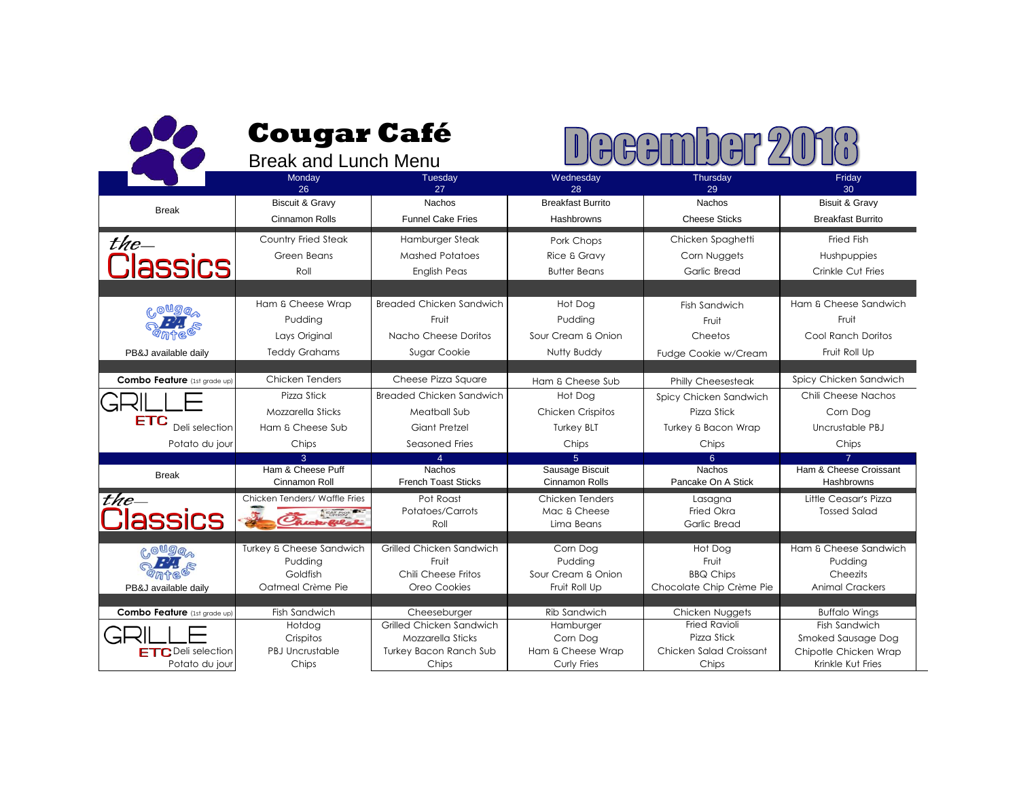|                                                                             | <b>Cougar Café</b><br><b>Break and Lunch Menu</b>                       |                                                                                                         |                                                                                  |                                                                                            |                                                                                                           |  |
|-----------------------------------------------------------------------------|-------------------------------------------------------------------------|---------------------------------------------------------------------------------------------------------|----------------------------------------------------------------------------------|--------------------------------------------------------------------------------------------|-----------------------------------------------------------------------------------------------------------|--|
|                                                                             | Monday<br>26                                                            | Tuesday<br>27                                                                                           | Wednesday<br>28                                                                  | Thursday<br>29                                                                             | Friday<br>30                                                                                              |  |
| <b>Break</b>                                                                | <b>Biscuit &amp; Gravy</b><br><b>Cinnamon Rolls</b>                     | <b>Nachos</b><br><b>Funnel Cake Fries</b>                                                               | <b>Breakfast Burrito</b><br>Hashbrowns                                           | <b>Nachos</b><br><b>Cheese Sticks</b>                                                      | Bisuit & Gravy<br><b>Breakfast Burrito</b>                                                                |  |
| the $-$<br><b>Classics</b>                                                  | <b>Country Fried Steak</b><br>Green Beans<br>Roll                       | Hamburger Steak<br><b>Mashed Potatoes</b><br><b>English Peas</b>                                        | Pork Chops<br>Rice & Gravy<br><b>Butter Beans</b>                                | Chicken Spaghetti<br>Corn Nuggets<br>Garlic Bread                                          | <b>Fried Fish</b><br>Hushpuppies<br>Crinkle Cut Fries                                                     |  |
| ௹ஂ௸௸<br>PB&J available daily                                                | Ham & Cheese Wrap<br>Pudding<br>Lays Original<br><b>Teddy Grahams</b>   | Breaded Chicken Sandwich<br>Fruit<br>Nacho Cheese Doritos<br>Sugar Cookie                               | Hot Dog<br>Pudding<br>Sour Cream & Onion<br>Nutty Buddy                          | Fish Sandwich<br>Fruit<br>Cheetos<br>Fudge Cookie w/Cream                                  | Ham & Cheese Sandwich<br>Fruit<br>Cool Ranch Doritos<br>Fruit Roll Up                                     |  |
| <b>Combo Feature</b> (1st grade up)                                         | <b>Chicken Tenders</b>                                                  | Cheese Pizza Square                                                                                     | Ham & Cheese Sub                                                                 | Philly Cheesesteak                                                                         | Spicy Chicken Sandwich                                                                                    |  |
| FTC<br>Deli selection<br>Potato du jour                                     | Pizza Stick<br>Mozzarella Sticks<br>Ham & Cheese Sub<br>Chips           | Breaded Chicken Sandwich<br>Meatball Sub<br>Giant Pretzel<br>Seasoned Fries                             | Hot Dog<br><b>Chicken Crispitos</b><br><b>Turkey BLT</b><br>Chips                | Spicy Chicken Sandwich<br>Pizza Stick<br>Turkey & Bacon Wrap<br>Chips                      | Chili Cheese Nachos<br>Corn Dog<br>Uncrustable PBJ<br>Chips                                               |  |
| <b>Break</b>                                                                | $\mathcal{R}$<br>Ham & Cheese Puff<br>Cinnamon Roll                     | $\overline{4}$<br><b>Nachos</b><br><b>French Toast Sticks</b>                                           | $\overline{5}$<br>Sausage Biscuit<br><b>Cinnamon Rolls</b>                       | 6 <sup>1</sup><br><b>Nachos</b><br>Pancake On A Stick                                      | $\overline{7}$<br>Ham & Cheese Croissant<br>Hashbrowns                                                    |  |
| the $-$<br><b>lassics</b>                                                   | Chicken Tenders/ Waffle Fries<br>EAT MON<br>ick-Ril-l                   | Pot Roast<br>Potatoes/Carrots<br>Roll                                                                   | Chicken Tenders<br>Mac & Cheese<br>Lima Beans                                    | Lasagna<br>Fried Okra<br>Garlic Bread                                                      | Little Ceasar's Pizza<br><b>Tossed Salad</b>                                                              |  |
| <b>COUGO</b><br><b>PARTIE</b><br>PB&J available daily                       | Turkey & Cheese Sandwich<br>Pudding<br>Goldfish<br>Oatmeal Crème Pie    | Grilled Chicken Sandwich<br>Fruit<br>Chili Cheese Fritos<br>Oreo Cookies                                | Corn Dog<br>Pudding<br>Sour Cream & Onion<br>Fruit Roll Up                       | Hot Dog<br>Fruit<br><b>BBQ Chips</b><br>Chocolate Chip Crème Pie                           | Ham & Cheese Sandwich<br>Pudding<br>Cheezits<br><b>Animal Crackers</b>                                    |  |
| Combo Feature (1st grade up)<br><b>ETC</b> Deli selection<br>Potato du jour | Fish Sandwich<br>Hotdog<br>Crispitos<br><b>PBJ Uncrustable</b><br>Chips | Cheeseburger<br>Grilled Chicken Sandwich<br>Mozzarella Sticks<br><b>Turkey Bacon Ranch Sub</b><br>Chips | <b>Rib Sandwich</b><br>Hamburger<br>Corn Dog<br>Ham & Cheese Wrap<br>Curly Fries | Chicken Nuggets<br><b>Fried Ravioli</b><br>Pizza Stick<br>Chicken Salad Croissant<br>Chips | <b>Buffalo Wings</b><br>Fish Sandwich<br>Smoked Sausage Dog<br>Chipotle Chicken Wrap<br>Krinkle Kut Fries |  |